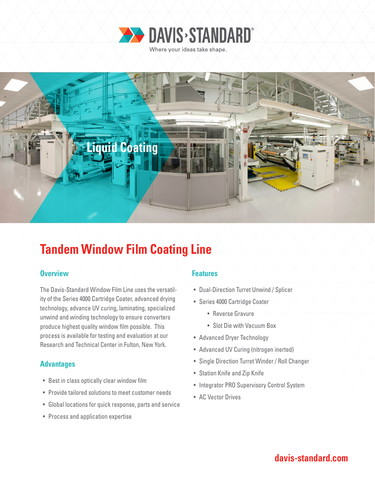



## **Tandem Window Film Coating Line**

### **Overview Allen Accept Accept Accept Accept Features**

The Davis-Standard Window Film Line uses the versatility of the Series 4000 Cartridge Coater, advanced drying technology, advance UV curing, laminating, specialized unwind and winding technology to ensure converters produce highest quality window film possible. This process is available for testing and evaluation at our Research and Technical Center in Fulton, New York.

### **Advantages**

- Best in class optically clear window film
- Provide tailored solutions to meet customer needs
- Global locations for quick response, parts and service
- Process and application expertise

- Dual-Direction Turret Unwind / Splicer
- Series 4000 Cartridge Coater
	- Reverse Gravure
	- Slot Die with Vacuum Box
- Advanced Dryer Technology
- Advanced UV Curing (nitrogen inerted)
- Single Direction Turret Winder / Roll Changer
- Station Knife and Zip Knife
- Integrator PRO Supervisory Control System
- AC Vector Drives

### **davis-standard.com**